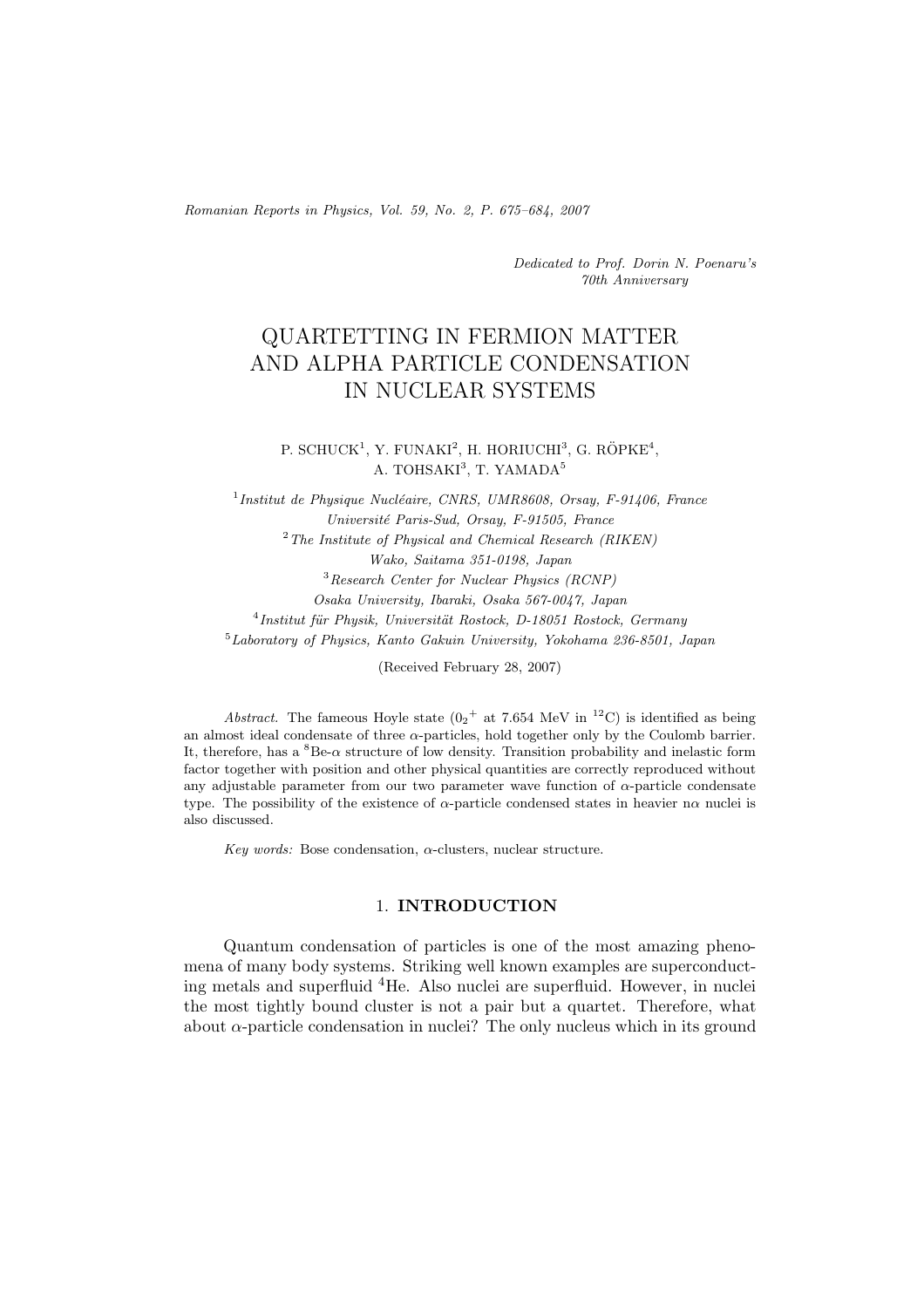*Romanian Reports in Physics, Vol. 59, No. 2, P. 675–684, 2007*

*Dedicated to Prof. Dorin N. Poenaru's 70th Anniversary*

# QUARTETTING IN FERMION MATTER AND ALPHA PARTICLE CONDENSATION IN NUCLEAR SYSTEMS

P. SCHUCK<sup>1</sup>, Y. FUNAKI<sup>2</sup>, H. HORIUCHI<sup>3</sup>, G. RÖPKE<sup>4</sup>, A. TOHSAKI<sup>3</sup>, T. YAMADA<sup>5</sup>

<sup>1</sup>Institut de Physique Nucléaire, CNRS, UMR8608, Orsay, F-91406, France *Universit´e Paris-Sud, Orsay, F-91505, France* <sup>2</sup>*The Institute of Physical and Chemical Research (RIKEN) Wako, Saitama 351-0198, Japan* <sup>3</sup>*Research Center for Nuclear Physics (RCNP) Osaka University, Ibaraki, Osaka 567-0047, Japan* <sup>4</sup> Institut für Physik, Universität Rostock, D-18051 Rostock, Germany <sup>5</sup>*Laboratory of Physics, Kanto Gakuin University, Yokohama 236-8501, Japan*

(Received February 28, 2007)

*Abstract.* The fameous Hoyle state  $(0<sub>2</sub> + at 7.654 \text{ MeV in }^{12}\text{C})$  is identified as being an almost ideal condensate of three  $\alpha$ -particles, hold together only by the Coulomb barrier. It, therefore, has a  ${}^{8}Be-\alpha$  structure of low density. Transition probability and inelastic form factor together with position and other physical quantities are correctly reproduced without any adjustable parameter from our two parameter wave function of  $\alpha$ -particle condensate type. The possibility of the existence of α-particle condensed states in heavier nα nuclei is also discussed.

*Key words:* Bose condensation, α-clusters, nuclear structure.

## 1. **INTRODUCTION**

Quantum condensation of particles is one of the most amazing phenomena of many body systems. Striking well known examples are superconducting metals and superfluid <sup>4</sup>He. Also nuclei are superfluid. However, in nuclei the most tightly bound cluster is not a pair but a quartet. Therefore, what about  $\alpha$ -particle condensation in nuclei? The only nucleus which in its ground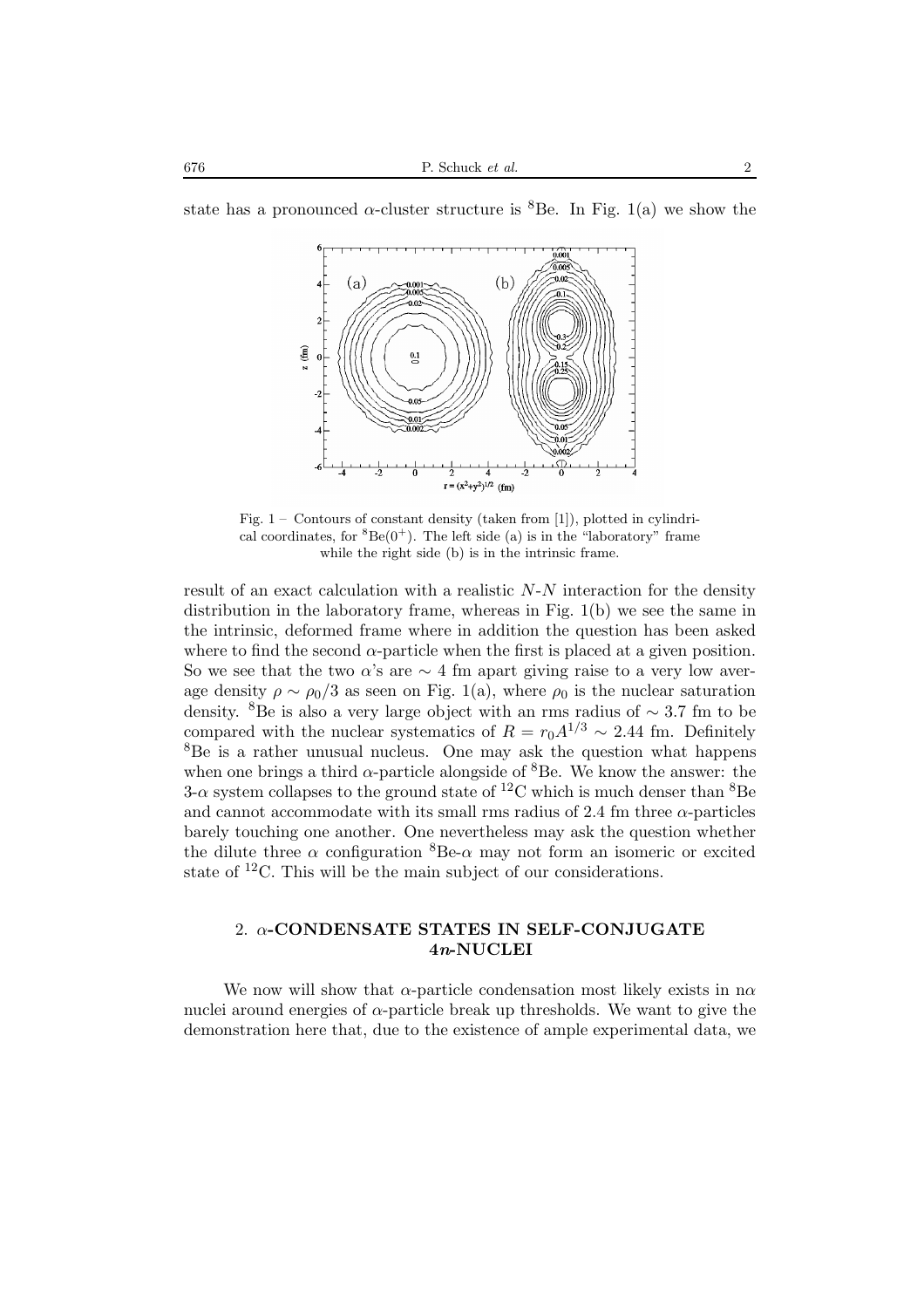

state has a pronounced  $\alpha$ -cluster structure is <sup>8</sup>Be. In Fig. 1(a) we show the

Fig. 1 – Contours of constant density (taken from [1]), plotted in cylindrical coordinates, for  ${}^{8}Be(0^{+})$ . The left side (a) is in the "laboratory" frame while the right side (b) is in the intrinsic frame.

result of an exact calculation with a realistic  $N-N$  interaction for the density distribution in the laboratory frame, whereas in Fig. 1(b) we see the same in the intrinsic, deformed frame where in addition the question has been asked where to find the second  $\alpha$ -particle when the first is placed at a given position. So we see that the two  $\alpha$ 's are  $\sim$  4 fm apart giving raise to a very low average density  $\rho \sim \rho_0/3$  as seen on Fig. 1(a), where  $\rho_0$  is the nuclear saturation density. <sup>8</sup>Be is also a very large object with an rms radius of <sup>∼</sup> <sup>3</sup>.7 fm to be compared with the nuclear systematics of  $R = r_0 A^{1/3} \sim 2.44$  fm. Definitely <sup>8</sup>Be is a rather unusual nucleus. One may ask the question what happens when one brings a third  $\alpha$ -particle alongside of <sup>8</sup>Be. We know the answer: the 3- $\alpha$  system collapses to the ground state of <sup>12</sup>C which is much denser than <sup>8</sup>Be and cannot accommodate with its small rms radius of 2.4 fm three  $\alpha$ -particles barely touching one another. One nevertheless may ask the question whether the dilute three  $\alpha$  configuration  ${}^{8}Be-\alpha$  may not form an isomeric or excited state of <sup>12</sup>C. This will be the main subject of our considerations.

## 2. α**-CONDENSATE STATES IN SELF-CONJUGATE 4***n***-NUCLEI**

We now will show that  $\alpha$ -particle condensation most likely exists in n $\alpha$ nuclei around energies of  $\alpha$ -particle break up thresholds. We want to give the demonstration here that, due to the existence of ample experimental data, we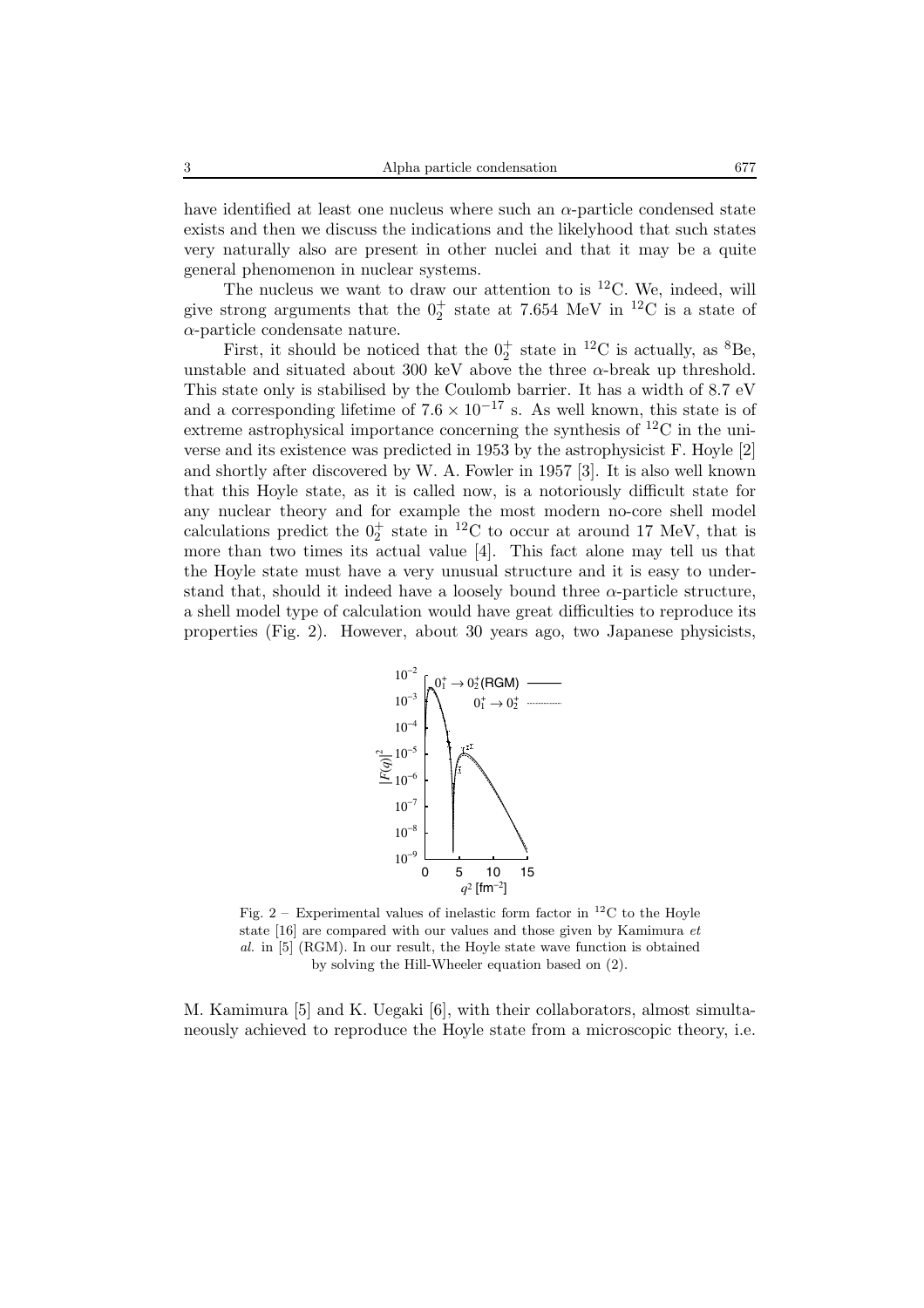have identified at least one nucleus where such an  $\alpha$ -particle condensed state exists and then we discuss the indications and the likelyhood that such states very naturally also are present in other nuclei and that it may be a quite general phenomenon in nuclear systems.

The nucleus we want to draw our attention to is  ${}^{12}$ C. We, indeed, will give strong arguments that the  $0^+_2$  state at 7.654 MeV in <sup>12</sup>C is a state of  $\alpha$ -particle condensate nature.

First, it should be noticed that the  $0^+_2$  state in <sup>12</sup>C is actually, as <sup>8</sup>Be, unstable and situated about 300 keV above the three  $\alpha$ -break up threshold. This state only is stabilised by the Coulomb barrier. It has a width of 8.7 eV and a corresponding lifetime of  $7.6 \times 10^{-17}$  s. As well known, this state is of extreme astrophysical importance concerning the synthesis of  ${}^{12}C$  in the universe and its existence was predicted in 1953 by the astrophysicist F. Hoyle [2] and shortly after discovered by W. A. Fowler in 1957 [3]. It is also well known that this Hoyle state, as it is called now, is a notoriously difficult state for any nuclear theory and for example the most modern no-core shell model calculations predict the  $0^+_2$  state in <sup>12</sup>C to occur at around 17 MeV, that is more than two times its actual value [4]. This fact alone may tell us that the Hoyle state must have a very unusual structure and it is easy to understand that, should it indeed have a loosely bound three  $\alpha$ -particle structure, a shell model type of calculation would have great difficulties to reproduce its properties (Fig. 2). However, about 30 years ago, two Japanese physicists,



Fig. 2 – Experimental values of inelastic form factor in  ${}^{12}$ C to the Hoyle state [16] are compared with our values and those given by Kamimura *et al.* in [5] (RGM). In our result, the Hoyle state wave function is obtained by solving the Hill-Wheeler equation based on (2).

M. Kamimura [5] and K. Uegaki [6], with their collaborators, almost simultaneously achieved to reproduce the Hoyle state from a microscopic theory, i.e.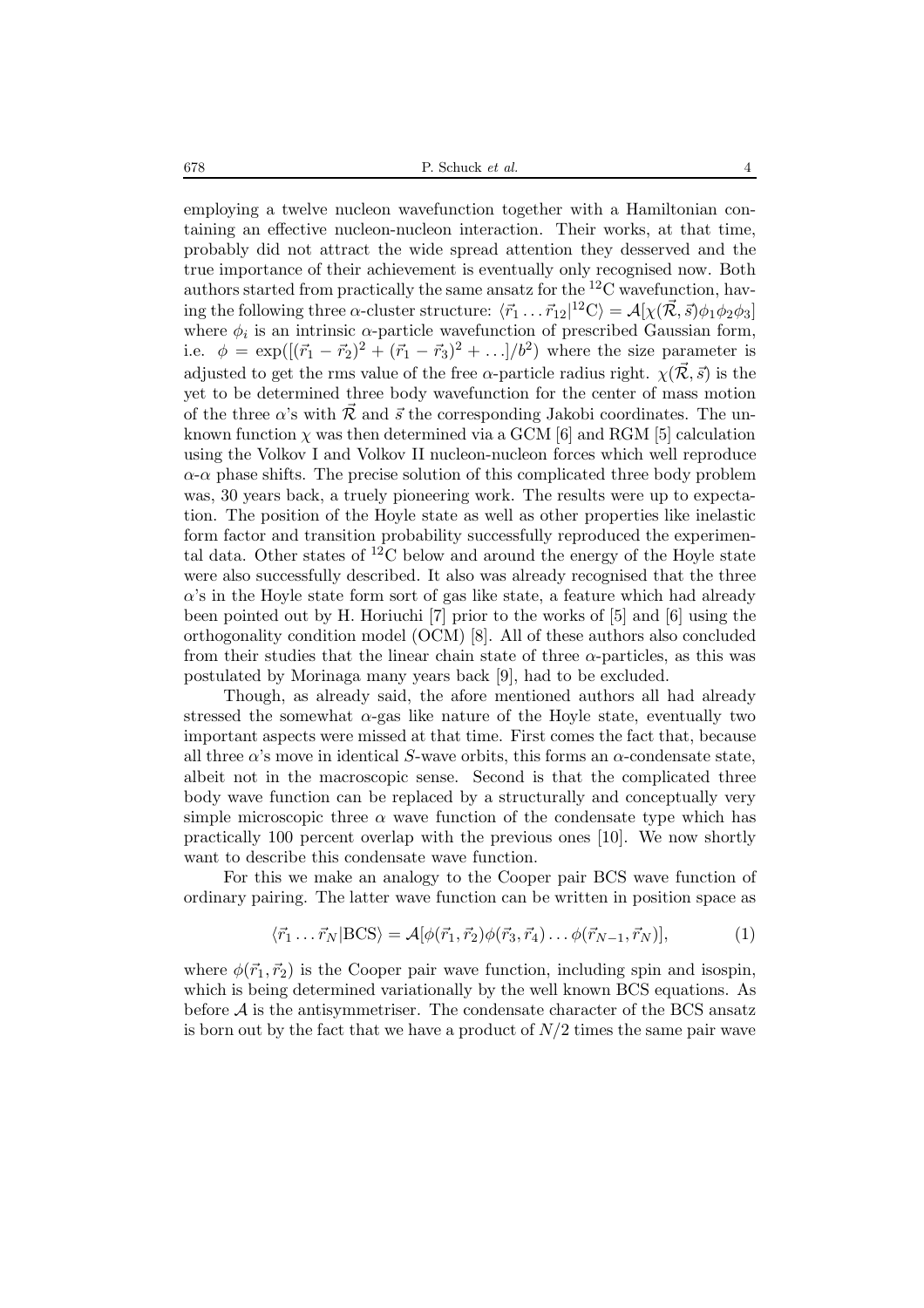678 P. Schuck *et al.* 4

employing a twelve nucleon wavefunction together with a Hamiltonian containing an effective nucleon-nucleon interaction. Their works, at that time, probably did not attract the wide spread attention they desserved and the true importance of their achievement is eventually only recognised now. Both authors started from practically the same ansatz for the  ${}^{12}$ C wavefunction, having the following three  $\alpha$ -cluster structure:  $\langle \vec{r}_1 \dots \vec{r}_{12} |^{12}C \rangle = \mathcal{A}[\chi(\vec{\mathcal{R}}, \vec{s})\phi_1\phi_2\phi_3]$ where  $\phi_i$  is an intrinsic  $\alpha$ -particle wavefunction of prescribed Gaussian form, i.e.  $\phi = \exp{\left( [(\vec{r}_1 - \vec{r}_2)^2 + (\vec{r}_1 - \vec{r}_3)^2 + ... ]/b^2 \right)}$  where the size parameter is adjusted to get the rms value of the free  $\alpha$ -particle radius right.  $\chi(\vec{\mathcal{R}}, \vec{s})$  is the yet to be determined three body wavefunction for the center of mass motion of the three  $\alpha$ 's with  $\tilde{\mathcal{R}}$  and  $\vec{s}$  the corresponding Jakobi coordinates. The unknown function  $\chi$  was then determined via a GCM [6] and RGM [5] calculation using the Volkov I and Volkov II nucleon-nucleon forces which well reproduce  $\alpha$ - $\alpha$  phase shifts. The precise solution of this complicated three body problem was, 30 years back, a truely pioneering work. The results were up to expectation. The position of the Hoyle state as well as other properties like inelastic form factor and transition probability successfully reproduced the experimental data. Other states of  ${}^{12}$ C below and around the energy of the Hoyle state were also successfully described. It also was already recognised that the three  $\alpha$ 's in the Hoyle state form sort of gas like state, a feature which had already been pointed out by H. Horiuchi [7] prior to the works of [5] and [6] using the orthogonality condition model (OCM) [8]. All of these authors also concluded from their studies that the linear chain state of three  $\alpha$ -particles, as this was postulated by Morinaga many years back [9], had to be excluded.

Though, as already said, the afore mentioned authors all had already stressed the somewhat  $\alpha$ -gas like nature of the Hoyle state, eventually two important aspects were missed at that time. First comes the fact that, because all three  $\alpha$ 's move in identical S-wave orbits, this forms an  $\alpha$ -condensate state, albeit not in the macroscopic sense. Second is that the complicated three body wave function can be replaced by a structurally and conceptually very simple microscopic three  $\alpha$  wave function of the condensate type which has practically 100 percent overlap with the previous ones [10]. We now shortly want to describe this condensate wave function.

For this we make an analogy to the Cooper pair BCS wave function of ordinary pairing. The latter wave function can be written in position space as

$$
\langle \vec{r}_1 \dots \vec{r}_N | BCS \rangle = \mathcal{A}[\phi(\vec{r}_1, \vec{r}_2) \phi(\vec{r}_3, \vec{r}_4) \dots \phi(\vec{r}_{N-1}, \vec{r}_N)], \tag{1}
$$

where  $\phi(\vec{r}_1, \vec{r}_2)$  is the Cooper pair wave function, including spin and isospin, which is being determined variationally by the well known BCS equations. As before  $A$  is the antisymmetriser. The condensate character of the BCS ansatz is born out by the fact that we have a product of  $N/2$  times the same pair wave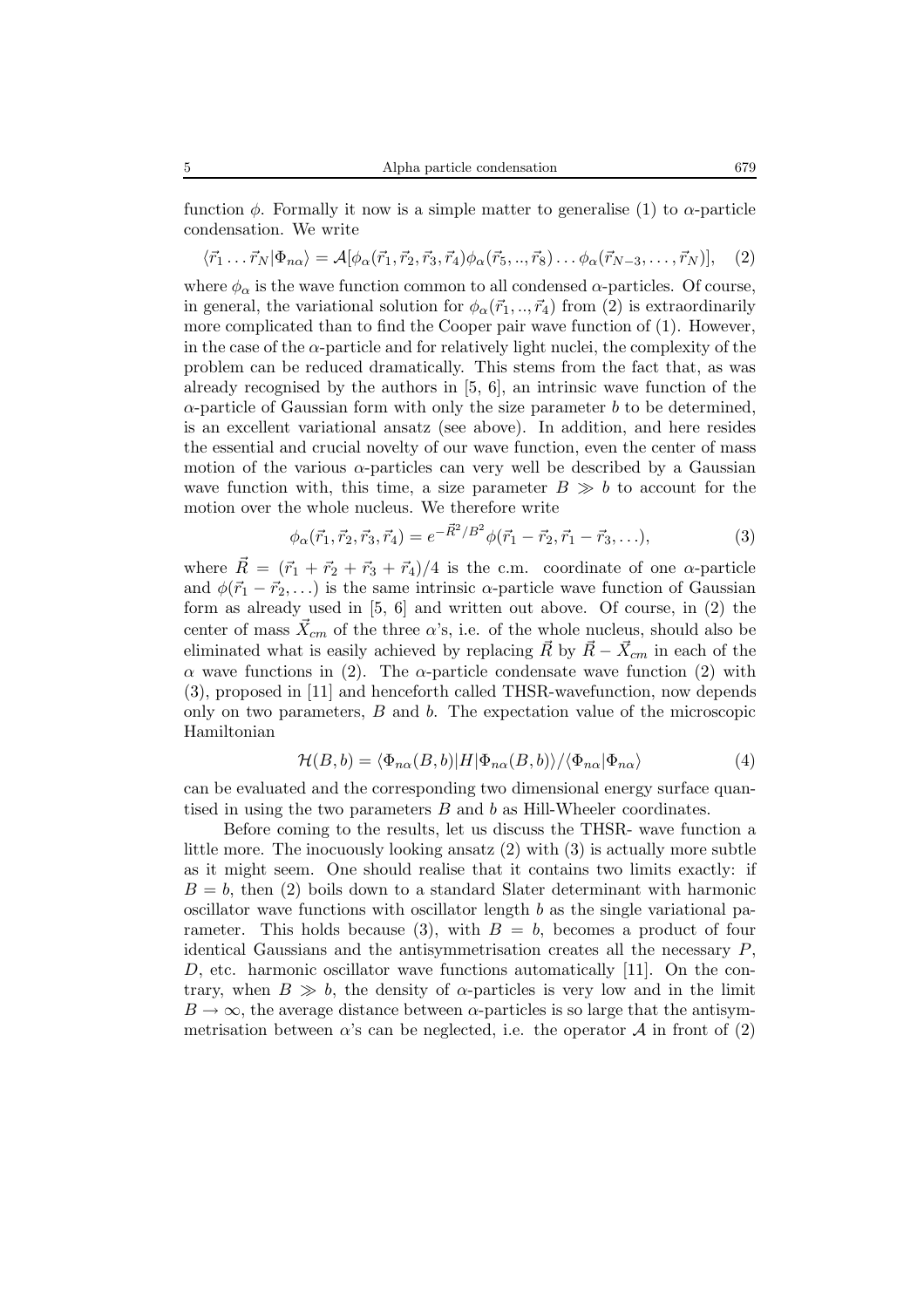function  $\phi$ . Formally it now is a simple matter to generalise (1) to  $\alpha$ -particle condensation. We write

 $\langle \vec{r}_1 \dots \vec{r}_N | \Phi_{n\alpha} \rangle = \mathcal{A}[\phi_\alpha(\vec{r}_1, \vec{r}_2, \vec{r}_3, \vec{r}_4) \phi_\alpha(\vec{r}_5, \dots, \vec{r}_8) \dots \phi_\alpha(\vec{r}_{N-3}, \dots, \vec{r}_N)],$  (2)

where  $\phi_{\alpha}$  is the wave function common to all condensed  $\alpha$ -particles. Of course, in general, the variational solution for  $\phi_{\alpha}(\vec{r}_1, ..., \vec{r}_4)$  from (2) is extraordinarily more complicated than to find the Cooper pair wave function of (1). However, in the case of the  $\alpha$ -particle and for relatively light nuclei, the complexity of the problem can be reduced dramatically. This stems from the fact that, as was already recognised by the authors in  $[5, 6]$ , an intrinsic wave function of the  $\alpha$ -particle of Gaussian form with only the size parameter b to be determined, is an excellent variational ansatz (see above). In addition, and here resides the essential and crucial novelty of our wave function, even the center of mass motion of the various  $\alpha$ -particles can very well be described by a Gaussian wave function with, this time, a size parameter  $B \gg b$  to account for the motion over the whole nucleus. We therefore write

$$
\phi_{\alpha}(\vec{r}_1, \vec{r}_2, \vec{r}_3, \vec{r}_4) = e^{-\vec{R}^2/B^2} \phi(\vec{r}_1 - \vec{r}_2, \vec{r}_1 - \vec{r}_3, \ldots),\tag{3}
$$

where  $\vec{R} = (\vec{r}_1 + \vec{r}_2 + \vec{r}_3 + \vec{r}_4)/4$  is the c.m. coordinate of one  $\alpha$ -particle and  $\phi(\vec{r}_1 - \vec{r}_2,...)$  is the same intrinsic  $\alpha$ -particle wave function of Gaussian form as already used in [5, 6] and written out above. Of course, in (2) the center of mass  $\vec{X}_{cm}$  of the three  $\alpha$ 's, i.e. of the whole nucleus, should also be eliminated what is easily achieved by replacing  $\vec{R}$  by  $\vec{R} - \vec{X}_{cm}$  in each of the α wave functions in (2). The α-particle condensate wave function (2) with (3), proposed in [11] and henceforth called THSR-wavefunction, now depends only on two parameters, B and b. The expectation value of the microscopic Hamiltonian

$$
\mathcal{H}(B,b) = \langle \Phi_{n\alpha}(B,b)|H|\Phi_{n\alpha}(B,b)\rangle / \langle \Phi_{n\alpha}|\Phi_{n\alpha}\rangle \tag{4}
$$

can be evaluated and the corresponding two dimensional energy surface quantised in using the two parameters B and b as Hill-Wheeler coordinates.

Before coming to the results, let us discuss the THSR- wave function a little more. The inocuously looking ansatz  $(2)$  with  $(3)$  is actually more subtle as it might seem. One should realise that it contains two limits exactly: if  $B = b$ , then (2) boils down to a standard Slater determinant with harmonic oscillator wave functions with oscillator length  $b$  as the single variational parameter. This holds because (3), with  $B = b$ , becomes a product of four identical Gaussians and the antisymmetrisation creates all the necessary P, D, etc. harmonic oscillator wave functions automatically [11]. On the contrary, when  $B \gg b$ , the density of  $\alpha$ -particles is very low and in the limit  $B \to \infty$ , the average distance between  $\alpha$ -particles is so large that the antisymmetrisation between  $\alpha$ 's can be neglected, i.e. the operator  $\mathcal A$  in front of (2)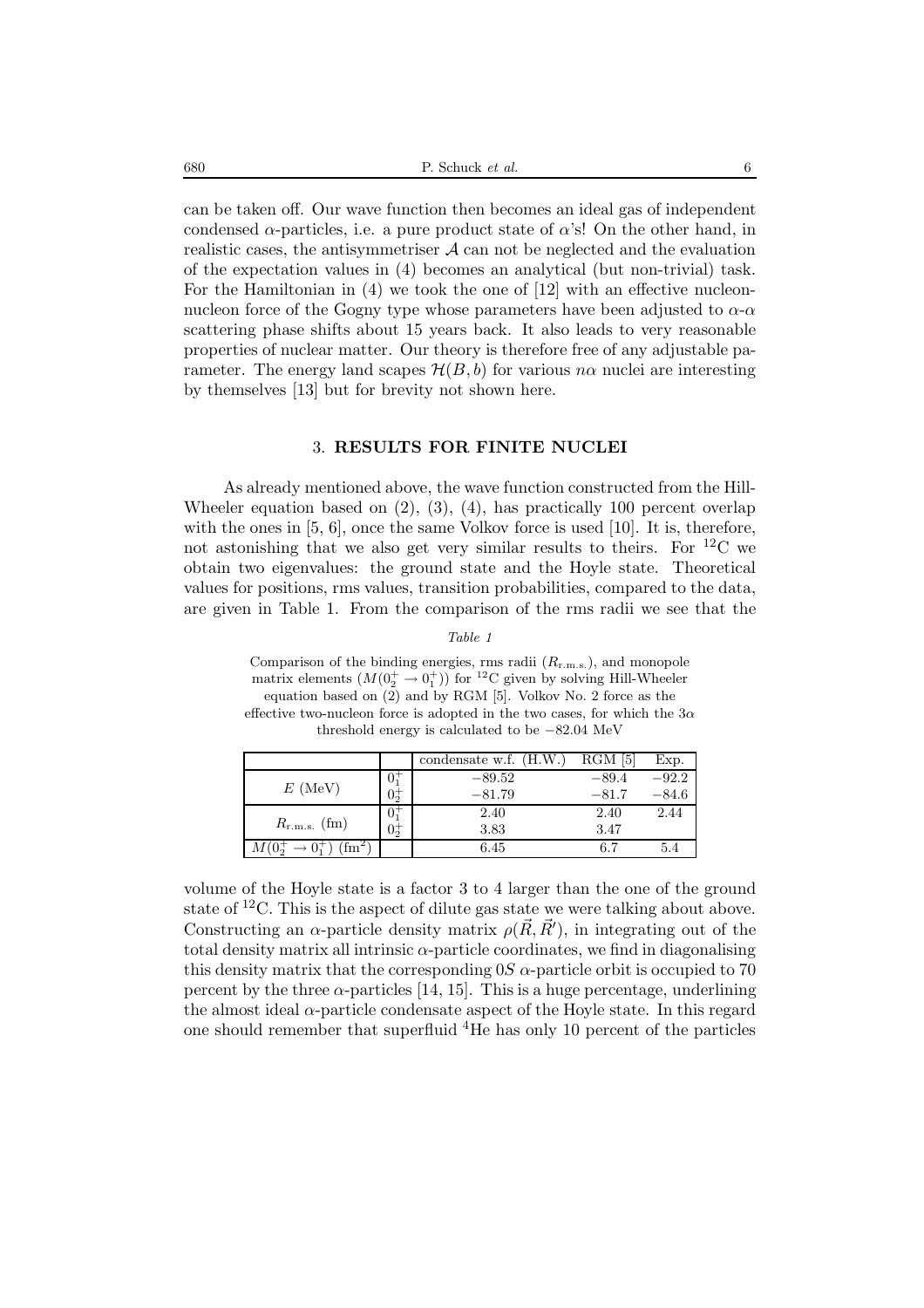680 P. Schuck *et al.* 6

can be taken off. Our wave function then becomes an ideal gas of independent condensed  $\alpha$ -particles, i.e. a pure product state of  $\alpha$ 's! On the other hand, in realistic cases, the antisymmetriser  $A$  can not be neglected and the evaluation of the expectation values in (4) becomes an analytical (but non-trivial) task. For the Hamiltonian in (4) we took the one of [12] with an effective nucleonnucleon force of the Gogny type whose parameters have been adjusted to  $\alpha$ - $\alpha$ scattering phase shifts about 15 years back. It also leads to very reasonable properties of nuclear matter. Our theory is therefore free of any adjustable parameter. The energy land scapes  $\mathcal{H}(B,b)$  for various  $n\alpha$  nuclei are interesting by themselves [13] but for brevity not shown here.

#### 3. **RESULTS FOR FINITE NUCLEI**

As already mentioned above, the wave function constructed from the Hill-Wheeler equation based on (2), (3), (4), has practically 100 percent overlap with the ones in [5, 6], once the same Volkov force is used [10]. It is, therefore, not astonishing that we also get very similar results to theirs. For  ${}^{12}$ C we obtain two eigenvalues: the ground state and the Hoyle state. Theoretical values for positions, rms values, transition probabilities, compared to the data, are given in Table 1. From the comparison of the rms radii we see that the

*Table 1*

Comparison of the binding energies, rms radii (Rr*.*m*.*s*.*), and monopole matrix elements  $(M(\mathbb{0}_2^+ \rightarrow \mathbb{0}_1^+))$  for <sup>12</sup>C given by solving Hill-Wheeler equation based on (2) and by RGM [5]. Volkov No. 2 force as the effective two-nucleon force is adopted in the two cases, for which the  $3\alpha$ threshold energy is calculated to be −82.04 MeV

|                   |                 | 'H.W.<br>condensate w.f. | 5<br>$_{\rm RGM}$ | Exp.    |
|-------------------|-----------------|--------------------------|-------------------|---------|
| $E$ (MeV)         | $\mathbf{U}$    | $-89.52$                 | $-89.4$           | $-92.2$ |
|                   | $0\overline{5}$ | $-81.79$                 | $-81.7$           | $-84.6$ |
| $R_{r.m.s.}$ (fm) | U÷              | 2.40                     | 2.40              | 2.44    |
|                   | $0\overline{5}$ | 3.83                     | 3.47              |         |
| m                 |                 | $6.45\,$                 | 6.7               | 5.4     |

volume of the Hoyle state is a factor 3 to 4 larger than the one of the ground state of  ${}^{12}C$ . This is the aspect of dilute gas state we were talking about above. Constructing an  $\alpha$ -particle density matrix  $\rho(\vec{R}, \vec{R}')$ , in integrating out of the total density matrix all intrinsic  $\alpha$ -particle coordinates, we find in diagonalising this density matrix that the corresponding  $0S$   $\alpha$ -particle orbit is occupied to 70 percent by the three  $\alpha$ -particles [14, 15]. This is a huge percentage, underlining the almost ideal  $\alpha$ -particle condensate aspect of the Hoyle state. In this regard one should remember that superfluid <sup>4</sup>He has only 10 percent of the particles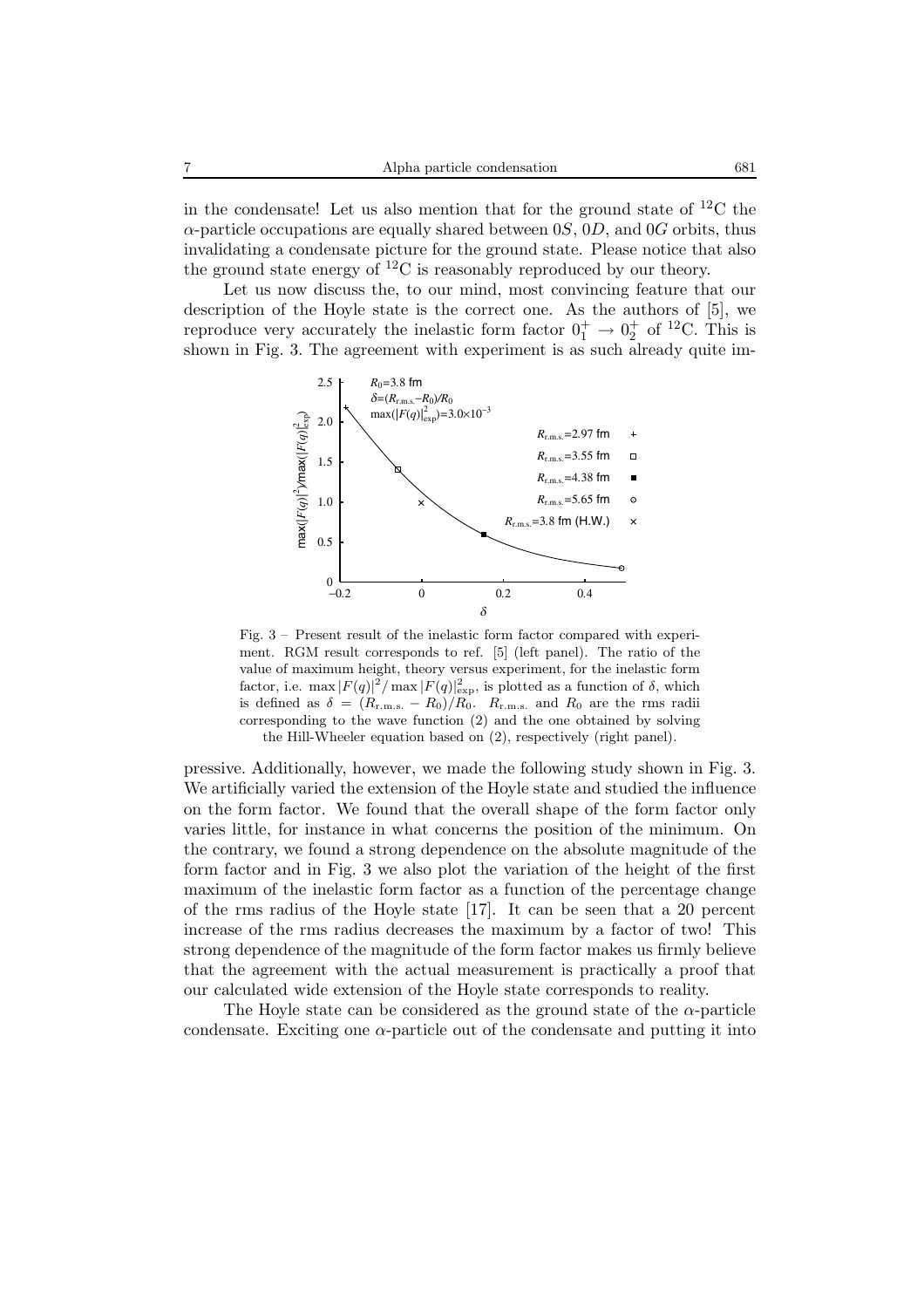in the condensate! Let us also mention that for the ground state of  ${}^{12}C$  the  $\alpha$ -particle occupations are equally shared between 0S, 0D, and 0G orbits, thus invalidating a condensate picture for the ground state. Please notice that also the ground state energy of  ${}^{12}C$  is reasonably reproduced by our theory.

Let us now discuss the, to our mind, most convincing feature that our description of the Hoyle state is the correct one. As the authors of [5], we reproduce very accurately the inelastic form factor  $0^+_1 \rightarrow 0^+_2$  of <sup>12</sup>C. This is shown in Fig. 3. The agreement with experiment is as such already quite im-



Fig. 3 – Present result of the inelastic form factor compared with experiment. RGM result corresponds to ref. [5] (left panel). The ratio of the value of maximum height, theory versus experiment, for the inelastic form factor, i.e.  $\max |F(q)|^2 / \max |F(q)|^2_{\exp}$ , is plotted as a function of  $\delta$ , which is defined as  $\delta = (R_{r,m,s.} - R_0)/R_0$ .  $R_{r,m,s.}$  and  $R_0$  are the rms radii corresponding to the wave function (2) and the one obtained by solving the Hill-Wheeler equation based on (2), respectively (right panel).

pressive. Additionally, however, we made the following study shown in Fig. 3. We artificially varied the extension of the Hoyle state and studied the influence on the form factor. We found that the overall shape of the form factor only varies little, for instance in what concerns the position of the minimum. On the contrary, we found a strong dependence on the absolute magnitude of the form factor and in Fig. 3 we also plot the variation of the height of the first maximum of the inelastic form factor as a function of the percentage change of the rms radius of the Hoyle state [17]. It can be seen that a 20 percent increase of the rms radius decreases the maximum by a factor of two! This strong dependence of the magnitude of the form factor makes us firmly believe that the agreement with the actual measurement is practically a proof that our calculated wide extension of the Hoyle state corresponds to reality.

The Hoyle state can be considered as the ground state of the  $\alpha$ -particle condensate. Exciting one  $\alpha$ -particle out of the condensate and putting it into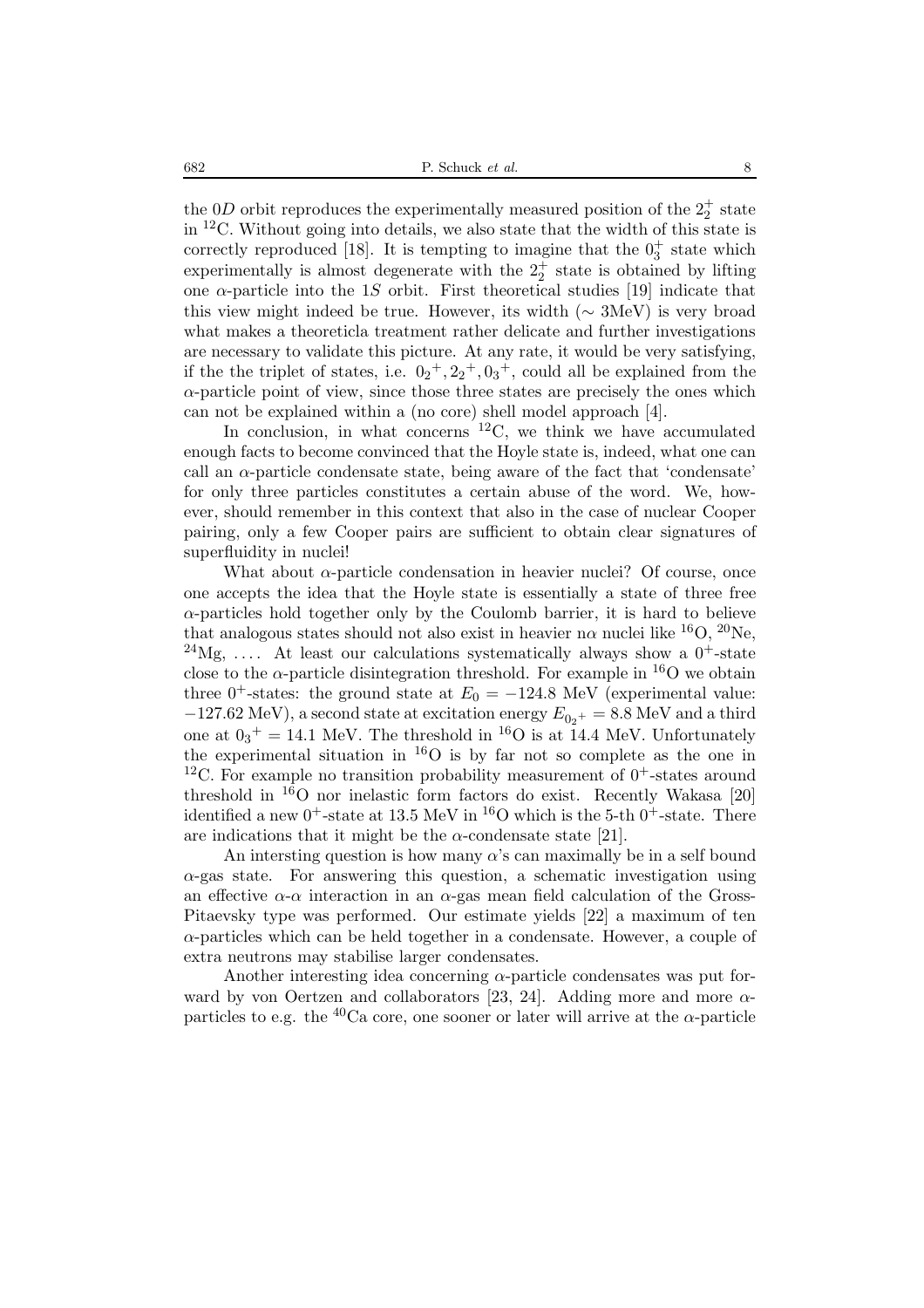the 0D orbit reproduces the experimentally measured position of the  $2^+_2$  state in <sup>12</sup>C. Without going into details, we also state that the width of this state is correctly reproduced [18]. It is tempting to imagine that the  $0^+_3$  state which experimentally is almost degenerate with the  $2^+_2$  state is obtained by lifting one  $\alpha$ -particle into the 1S orbit. First theoretical studies [19] indicate that this view might indeed be true. However, its width ( $\sim 3$ MeV) is very broad what makes a theoreticla treatment rather delicate and further investigations are necessary to validate this picture. At any rate, it would be very satisfying, if the the triplet of states, i.e.  $0_2^+, 2_2^+, 0_3^+,$  could all be explained from the  $\alpha$ -particle point of view, since those three states are precisely the ones which can not be explained within a (no core) shell model approach [4].

In conclusion, in what concerns  ${}^{12}C$ , we think we have accumulated enough facts to become convinced that the Hoyle state is, indeed, what one can call an  $\alpha$ -particle condensate state, being aware of the fact that 'condensate' for only three particles constitutes a certain abuse of the word. We, however, should remember in this context that also in the case of nuclear Cooper pairing, only a few Cooper pairs are sufficient to obtain clear signatures of superfluidity in nuclei!

What about  $\alpha$ -particle condensation in heavier nuclei? Of course, once one accepts the idea that the Hoyle state is essentially a state of three free  $\alpha$ -particles hold together only by the Coulomb barrier, it is hard to believe that analogous states should not also exist in heavier n $\alpha$  nuclei like <sup>16</sup>O, <sup>20</sup>Ne, <sup>24</sup>Mg, .... At least our calculations systematically always show a  $0^+$ -state close to the  $\alpha$ -particle disintegration threshold. For example in <sup>16</sup>O we obtain three 0<sup>+</sup>-states: the ground state at  $E_0 = -124.8$  MeV (experimental value:  $-127.62 \text{ MeV}$ , a second state at excitation energy  $E_{0<sub>2</sub>^+} = 8.8 \text{ MeV}$  and a third one at  $0_3^+ = 14.1$  MeV. The threshold in <sup>16</sup>O is at 14.4 MeV. Unfortunately the experimental situation in <sup>16</sup>O is by far not so complete as the one in <sup>12</sup>C. For example no transition probability measurement of  $0^+$ -states around threshold in  ${}^{16}O$  nor inelastic form factors do exist. Recently Wakasa [20] identified a new  $0^+$ -state at 13.5 MeV in <sup>16</sup>O which is the 5-th  $0^+$ -state. There are indications that it might be the  $\alpha$ -condensate state [21].

An intersting question is how many  $\alpha$ 's can maximally be in a self bound  $\alpha$ -gas state. For answering this question, a schematic investigation using an effective  $\alpha$ - $\alpha$  interaction in an  $\alpha$ -gas mean field calculation of the Gross-Pitaevsky type was performed. Our estimate yields [22] a maximum of ten  $\alpha$ -particles which can be held together in a condensate. However, a couple of extra neutrons may stabilise larger condensates.

Another interesting idea concerning  $\alpha$ -particle condensates was put forward by von Oertzen and collaborators [23, 24]. Adding more and more  $\alpha$ particles to e.g. the  $^{40}$ Ca core, one sooner or later will arrive at the  $\alpha$ -particle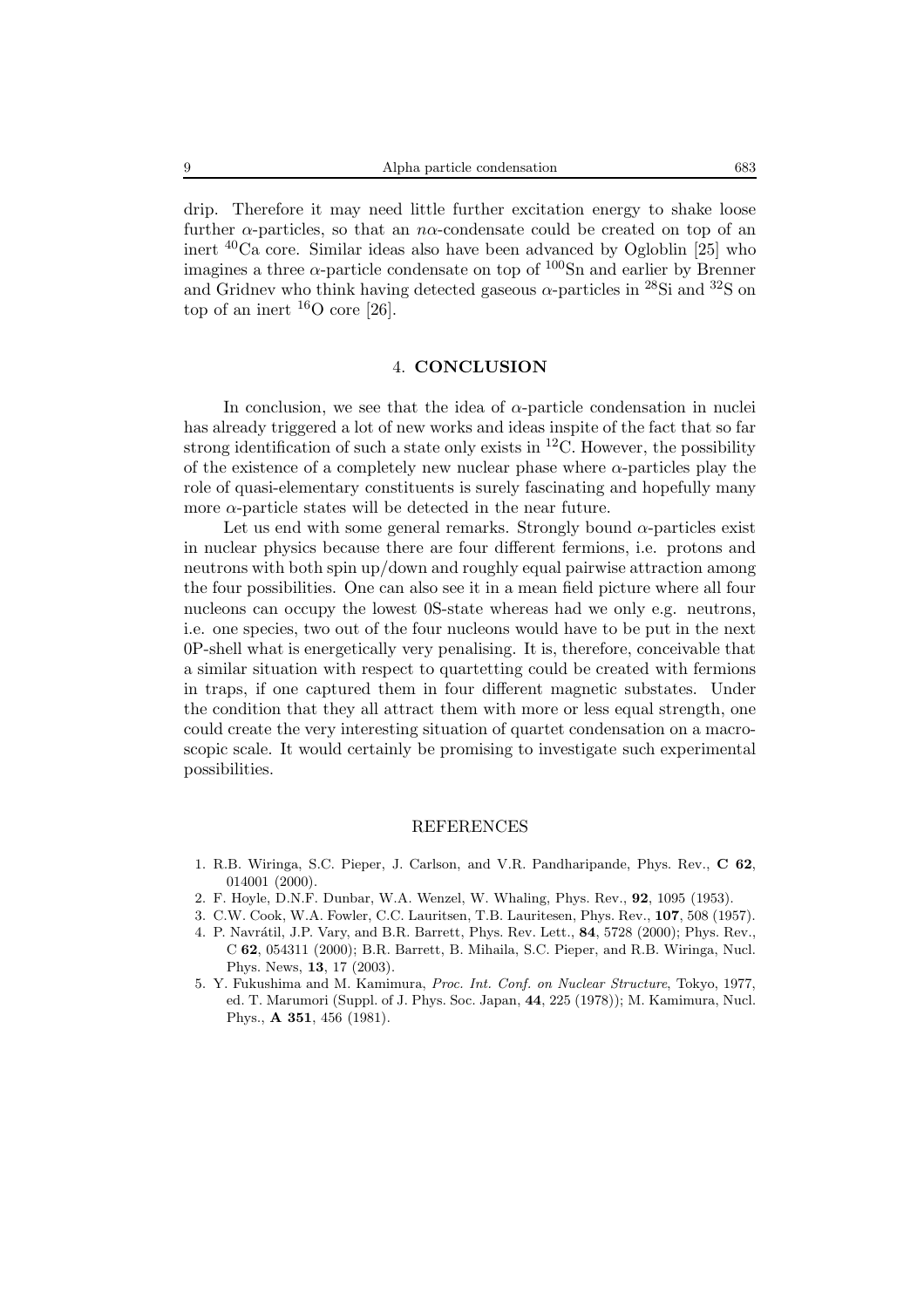drip. Therefore it may need little further excitation energy to shake loose further  $\alpha$ -particles, so that an n $\alpha$ -condensate could be created on top of an inert <sup>40</sup>Ca core. Similar ideas also have been advanced by Ogloblin [25] who imagines a three  $\alpha$ -particle condensate on top of  $100$ Sn and earlier by Brenner and Gridnev who think having detected gaseous  $\alpha$ -particles in <sup>28</sup>Si and <sup>32</sup>S on top of an inert  $^{16}$ O core [26].

### 4. **CONCLUSION**

In conclusion, we see that the idea of  $\alpha$ -particle condensation in nuclei has already triggered a lot of new works and ideas inspite of the fact that so far strong identification of such a state only exists in  ${}^{12}$ C. However, the possibility of the existence of a completely new nuclear phase where  $\alpha$ -particles play the role of quasi-elementary constituents is surely fascinating and hopefully many more  $\alpha$ -particle states will be detected in the near future.

Let us end with some general remarks. Strongly bound  $\alpha$ -particles exist in nuclear physics because there are four different fermions, i.e. protons and neutrons with both spin up/down and roughly equal pairwise attraction among the four possibilities. One can also see it in a mean field picture where all four nucleons can occupy the lowest 0S-state whereas had we only e.g. neutrons, i.e. one species, two out of the four nucleons would have to be put in the next 0P-shell what is energetically very penalising. It is, therefore, conceivable that a similar situation with respect to quartetting could be created with fermions in traps, if one captured them in four different magnetic substates. Under the condition that they all attract them with more or less equal strength, one could create the very interesting situation of quartet condensation on a macroscopic scale. It would certainly be promising to investigate such experimental possibilities.

#### **REFERENCES**

- 1. R.B. Wiringa, S.C. Pieper, J. Carlson, and V.R. Pandharipande, Phys. Rev., **C 62**, 014001 (2000).
- 2. F. Hoyle, D.N.F. Dunbar, W.A. Wenzel, W. Whaling, Phys. Rev., **92**, 1095 (1953).
- 3. C.W. Cook, W.A. Fowler, C.C. Lauritsen, T.B. Lauritesen, Phys. Rev., **107**, 508 (1957).
- 4. P. Navr´atil, J.P. Vary, and B.R. Barrett, Phys. Rev. Lett., **84**, 5728 (2000); Phys. Rev., C **62**, 054311 (2000); B.R. Barrett, B. Mihaila, S.C. Pieper, and R.B. Wiringa, Nucl. Phys. News, **13**, 17 (2003).
- 5. Y. Fukushima and M. Kamimura, *Proc. Int. Conf. on Nuclear Structure*, Tokyo, 1977, ed. T. Marumori (Suppl. of J. Phys. Soc. Japan, **44**, 225 (1978)); M. Kamimura, Nucl. Phys., **A 351**, 456 (1981).